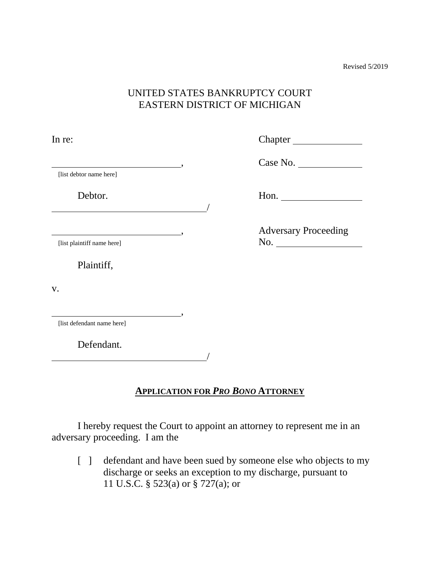Revised 5/2019

## UNITED STATES BANKRUPTCY COURT EASTERN DISTRICT OF MICHIGAN

| In re:                                                 |                             |
|--------------------------------------------------------|-----------------------------|
| $\overline{\phantom{a}}$                               | Case No.                    |
| [list debtor name here]                                |                             |
| Debtor.                                                | Hon. $\qquad \qquad$        |
| $\overline{\phantom{a}}$<br>[list plaintiff name here] | <b>Adversary Proceeding</b> |
| Plaintiff,                                             |                             |
| V.                                                     |                             |
| $\overline{\phantom{a}}$<br>[list defendant name here] |                             |
| Defendant.                                             |                             |

### **APPLICATION FOR** *PRO BONO* **ATTORNEY**

 I hereby request the Court to appoint an attorney to represent me in an adversary proceeding. I am the

/

[ ] defendant and have been sued by someone else who objects to my discharge or seeks an exception to my discharge, pursuant to 11 U.S.C. § 523(a) or § 727(a); or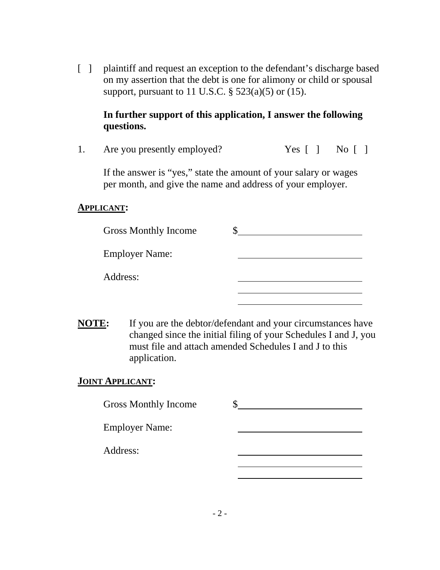[ ] plaintiff and request an exception to the defendant's discharge based on my assertion that the debt is one for alimony or child or spousal support, pursuant to 11 U.S.C. § 523(a)(5) or (15).

## **In further support of this application, I answer the following questions.**

1. Are you presently employed? Yes [ ] No [ ]

 If the answer is "yes," state the amount of your salary or wages per month, and give the name and address of your employer.

### **APPLICANT:**

| <b>Gross Monthly Income</b> |  |
|-----------------------------|--|
| <b>Employer Name:</b>       |  |
| Address:                    |  |
|                             |  |

**NOTE:** If you are the debtor/defendant and your circumstances have changed since the initial filing of your Schedules I and J, you must file and attach amended Schedules I and J to this application.

### **JOINT APPLICANT:**

| <b>Gross Monthly Income</b> |  |
|-----------------------------|--|
| <b>Employer Name:</b>       |  |
| Address:                    |  |
|                             |  |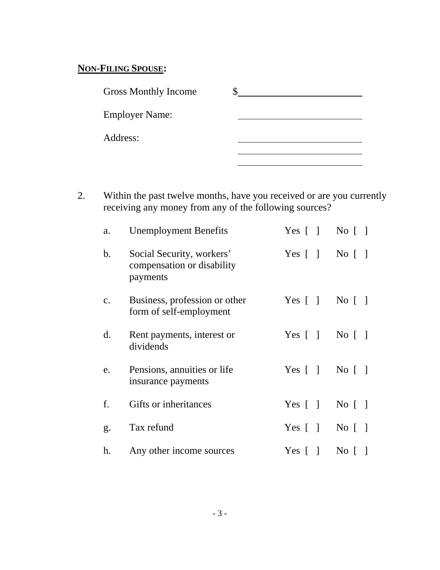# **NON-FILING SPOUSE:**

| <b>Gross Monthly Income</b> |  |
|-----------------------------|--|
| <b>Employer Name:</b>       |  |
| Address:                    |  |
|                             |  |

 2. Within the past twelve months, have you received or are you currently receiving any money from any of the following sources?

| a.             | <b>Unemployment Benefits</b>                                        | Yes $\lceil \; \rceil$                             | $\overline{N_0}$   $\overline{)}$            |
|----------------|---------------------------------------------------------------------|----------------------------------------------------|----------------------------------------------|
| b.             | Social Security, workers'<br>compensation or disability<br>payments | Yes $\lceil \cdot \rceil$ No $\lceil \cdot \rceil$ |                                              |
| $\mathbf{c}$ . | Business, profession or other<br>form of self-employment            | Yes $[ \ ]$                                        | $\overline{N_0}$   $\overline{)}$            |
| $\mathbf{d}$ . | Rent payments, interest or<br>dividends                             | Yes $\lceil \; \rceil$                             | $No \lceil \rceil$                           |
| e.             | Pensions, annuities or life<br>insurance payments                   | Yes $\lceil \; \rceil$                             | $\overline{N}$ $\overline{O}$ $\overline{O}$ |
| f.             | Gifts or inheritances                                               | Yes $\lceil \; \rceil$                             | $\overline{N_0}$   $\overline{)}$            |
| g.             | Tax refund                                                          | Yes $[ \ ]$                                        | $\overline{N_0}$   $\overline{1}$            |
| h.             | Any other income sources                                            | Yes $\begin{bmatrix} \end{bmatrix}$                | $\overline{N}$ $\overline{O}$                |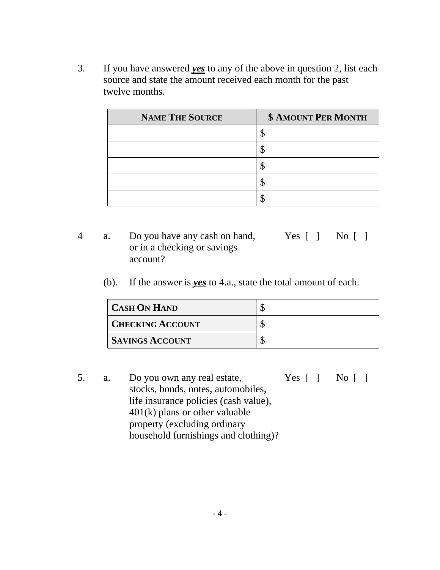3. If you have answered *yes* to any of the above in question 2, list each source and state the amount received each month for the past twelve months.

| <b>NAME THE SOURCE</b> | <b>\$ AMOUNT PER MONTH</b> |
|------------------------|----------------------------|
|                        |                            |
|                        |                            |
|                        |                            |
|                        |                            |
|                        |                            |

- 4 a. Do you have any cash on hand, Yes [ ] No [ ] or in a checking or savings account?
	- (b). If the answer is *yes* to 4.a., state the total amount of each.

| <b>CASH ON HAND</b>     |  |
|-------------------------|--|
| <b>CHECKING ACCOUNT</b> |  |
| <b>SAVINGS ACCOUNT</b>  |  |

 5. a. Do you own any real estate, Yes [ ] No [ ] stocks, bonds, notes, automobiles, life insurance policies (cash value), 401(k) plans or other valuable property (excluding ordinary household furnishings and clothing)?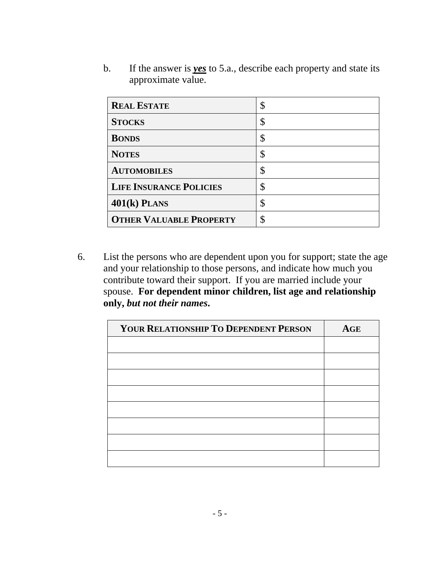b. If the answer is *yes* to 5.a., describe each property and state its approximate value.

| <b>REAL ESTATE</b>             | \$ |
|--------------------------------|----|
| <b>STOCKS</b>                  | \$ |
| <b>BONDS</b>                   | \$ |
| <b>NOTES</b>                   | \$ |
| <b>AUTOMOBILES</b>             | \$ |
| <b>LIFE INSURANCE POLICIES</b> | \$ |
| $401(k)$ PLANS                 | \$ |
| <b>OTHER VALUABLE PROPERTY</b> | \$ |

 6. List the persons who are dependent upon you for support; state the age and your relationship to those persons, and indicate how much you contribute toward their support. If you are married include your spouse. **For dependent minor children, list age and relationship only,** *but not their names***.**

| YOUR RELATIONSHIP TO DEPENDENT PERSON | <b>AGE</b> |
|---------------------------------------|------------|
|                                       |            |
|                                       |            |
|                                       |            |
|                                       |            |
|                                       |            |
|                                       |            |
|                                       |            |
|                                       |            |